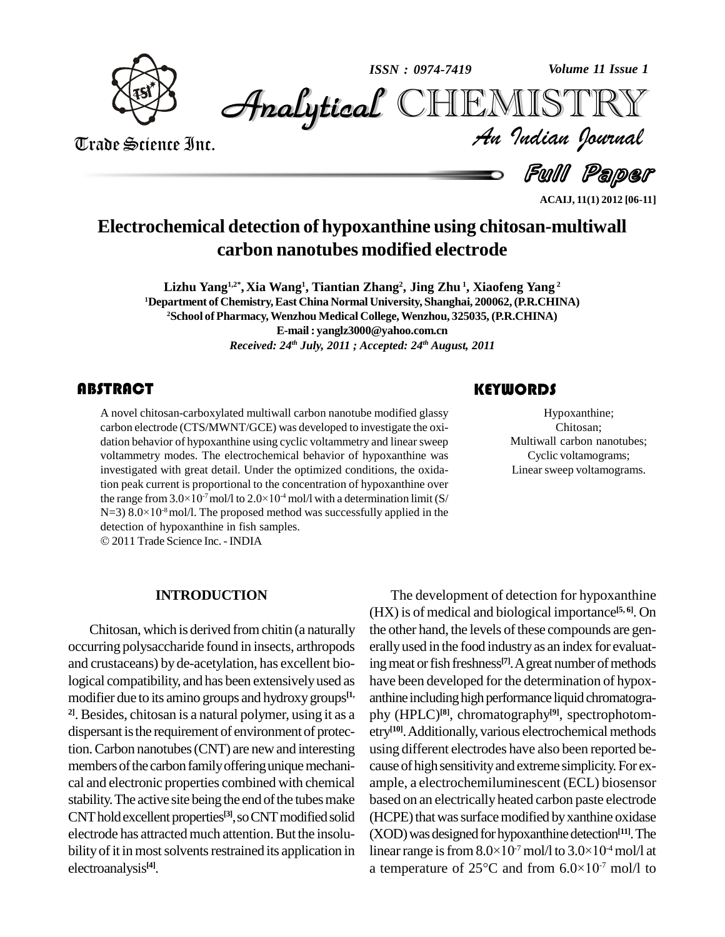

*Volume 11 Issue 1*



Trade Science Inc. Trade Science Inc.

Ful Paper *Volume 11 Issue 1*<br>IISTRY<br>Indian Iournal

**ACAIJ, 11(1) 2012 [06-11]**

## **Electrochemical detection of hypoxanthine using chitosan-multiwall carbon nanotubes modified electrode**

**Lizhu Yang 1,2\* ,Xia Wang 1 , Tiantian Zhang 2 , Jing Zhu 1 , Xiaofeng Yang 2 <sup>1</sup>Department of Chemistry,East China Normal University, Shanghai, 200062,(P.R.CHINA) <sup>2</sup>School ofPharmacy,Wenzhou Medical College,Wenzhou, 325035, (P.R.CHINA) E-mail: [yanglz3000@yahoo.com.cn](mailto:yanglz3000@yahoo.com.cn)** *Received: 24 th July, 2011 ; Accepted: 24 th August, 2011*

A novel chitosan-carboxylated multiwall carbon nanotube modified glassy<br>carbon electrode (CTS/MWNT/GCE) was developed to investigate the oxi-<br>dation behavior of hypoxanthine using cyclic voltammetry and linear sweep A novel chitosan-carboxylated multiwall carbon nanotube modified glassy carbon electrode (CTS/MWNT/GCE) was developed to investigate the oxi voltammetry modes. The electrochemical behavior of hypoxanthine was investigated with great detail. Under the optimized conditions, the oxidation peak current is proportional to the concentration of hypoxanthine over investigated with great detail. Under the optimized conditions, the oxidation peak current is proportional to the concentration of hypoxanthine over the range from  $3.0 \times 10^{-7}$  mol/l to  $2.0 \times 10^{-4}$  mol/l with a determi tion peak current is pro<br>the range from  $3.0\times10^{-1}$ <br>N=3)  $8.0\times10^{-8}$  mol/l. T  $N=3$ ) 8.0×10<sup>-8</sup> mol/l. The proposed method was successfully applied in the detection of hypoxanthine in fish samples. © 2011 Trade Science Inc. - INDIA

Hypoxanthine;<br>Chitosan;<br>Multiwall carbon nanotubes; Hypoxanthine; Chitosan; Cyclic voltamograms; Linear sweep voltamograms.

## **INTRODUCTION**

Chitosan, which is derived from chitin (a naturally occurring polysaccharide found in insects, arthropods and crustaceans) byde-acetylation, has excellent biological compatibility, and has been extensivelyused as modifier due to its amino groups and hydroxy groups<sup>[1,</sup> ant] <sup>21</sup>. Besides, chitosan is a natural polymer, using it as a dispersant is the requirement of environment of protection.Carbon nanotubes(CNT) are newand interesting members of the carbon family offering unique mechanical and electronic properties combined with chemical stability. The active site being the end of the tubes make CNT hold excellent properties<sup>[3]</sup>, so CNT modified solid (HCPE electrode has attracted much attention. But the insolubility of it in most solvents restrained its application in electroanalysis **[4]**.

The development of detection for hypoxanthine (HX) is of medical and biological importance **[5, 6]**. On the other hand, the levels of these compounds are generally used in the food industry as an index for evaluating meat or fish freshness<sup>[7]</sup>. A great number of methods have been developed for the determination of hypox anthine including high performance liquid chromatography (HPLC) **[8]**, chromatography **[9]**, spectrophotom etry<sup>[10]</sup>. Additionally, various electrochemical methods using different electrodes have also been reported be cause of high sensitivity and extreme simplicity. For example, a electrochemiluminescent (ECL) biosensor based on an electrically heated carbon paste electrode (HCPE) that was surface modified by xanthine oxidase (XOD) was designed for hypoxanthine detection<sup>[11]</sup>. The (HCPE) that was surface modified by xanthine oxidase<br>(XOD) was designed for hypoxanthine detection<sup>[11]</sup>. The<br>linear range is from  $8.0\times10^7$  mol/l to  $3.0\times10^4$  mol/l at linear range is from  $8.0 \times 10^{-7}$  mol/l to  $3.0 \times 10^{-4}$  mol/l at (XOD) was designed for hypoxanthine detection<sup>[11]</sup>. The<br>linear range is from  $8.0 \times 10^{-7}$  mol/l to  $3.0 \times 10^{-4}$  mol/l at<br>a temperature of  $25^{\circ}\text{C}$  and from  $6.0 \times 10^{-7}$  mol/l to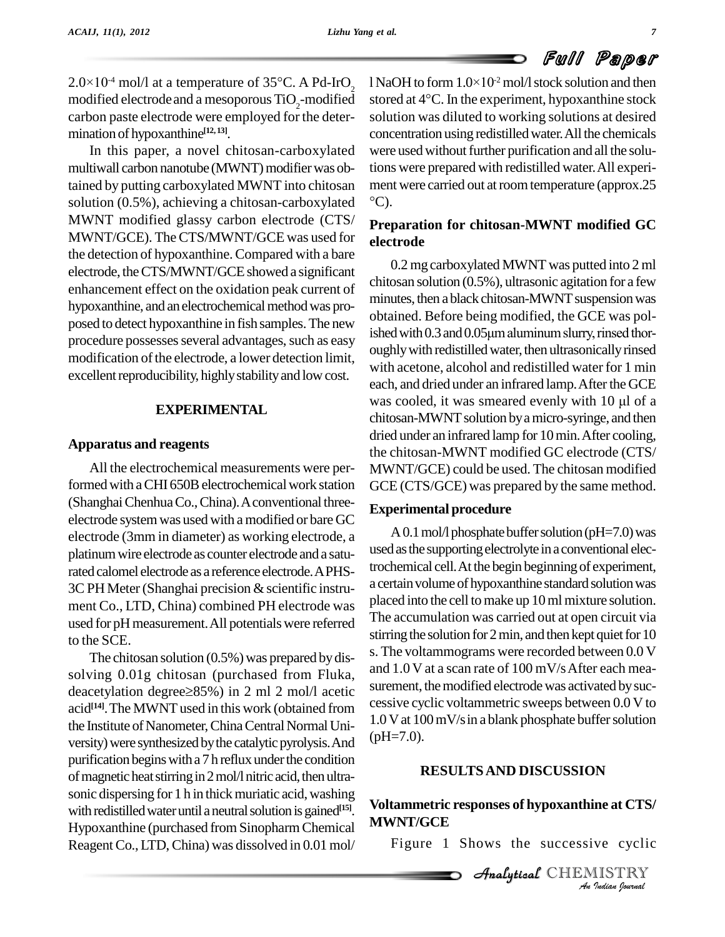$2.0 \times 10^4$  mol/l at a temperature of 35°C. A Pd-IrO<sub>2</sub> 1N carbon paste electrode were employed for the deter mination of hypoxanthine **[12, 13]**.

In this paper, a novel chitosan-carboxylated multiwall carbon nanotube (MWNT) modifier was obtained by putting carboxylated MWNT into chitosan solution (0.5%), achieving a chitosan-carboxylated MWNT modified glassy carbon electrode (CTS/ MWNT/GCE). TheCTS/MWNT/GCE was used for the detection of hypoxanthine.Compared with a bare electrode, the CTS/MWNT/GCE showed a significant enhancement effect on the oxidation peak current of hypoxanthine, and an electrochemical method was proposed to detect hypoxanthine in fish samples. The new bounded: Before being modified, the OCE was pos-<br>ished with 0.3 and 0.05  $\mu$ m aluminum slurry, rinsed thorprocedure possesses several advantages, such as easy modification of the electrode, a lower detection limit, excellent reproducibility, highly stability and low cost.

#### **EXPERIMENTAL**

#### **Apparatus and reagents**

All the electrochemical measurements were performed with a CHI 650B electrochemical work station (Shanghai Chenhua Co., China). A conventional threeelectrode systemwas used with amodified or bare GC electrode (3mm in diameter) as working electrode, a platinum wire electrode as counter electrode and a saturated calomel electrode as a reference electrode.APHS-  $3C$  PH Meter (Shanghai precision  $&$  scientific instrument Co., LTD, China) combined PH electrode was used for pH measurement. All potentials were referred to the SCE.

The chitosan solution (0.5%) was prepared bydis solving 0.01g chitosan (purchased from Fluka, and The chitosan solution (0.5%) was prepared by dis-<br>solving 0.01g chitosan (purchased from Fluka, and 1.<br>deacetylation degree $\geq$ 85%) in 2 ml 2 mol/l acetic surem acid<sup>[14]</sup>. The MWNT used in this work (obtained from cessive cycli the Institute of Nanometer, China Central Normal University) were synthesized by the catalytic pyrolysis. And purification begins with a 7 h reflux under the condition of magnetic heat stirring in 2 mol/l nitric acid, then ultrasonic dispersing for 1 h in thick muriatic acid, washing with redistilled water until a neutral solution is gained<sup>[15]</sup>. Hypoxanthine (purchased from Sinopharm Chemical ReagentCo.,LTD,China) was dissolved in 0.01 mol/

modified electrode and a mesoporous TiO<sub>2</sub>-modified stored at 4°C. In the experiment, hypoxanthine stock **Full Paper**<br>1 NaOH to form 1.0×10<sup>-2</sup> mol/l stock solution and then  $\text{SUSY}$ <br>I NaOH to form  $1.0 \times 10^2$  mol/l stock solution and then<br>stored at 4°C. In the experiment, hypoxanthine stock solution was diluted to working solutions at desired concentration using redistilledwater.All the chemicals were used without further purification and all the solutions were prepared with redistilled water.All experi ment were carried out at room temperature (approx.25  $\rm ^{\circ}C$ ).

### **Preparation for chitosan-MWNT modified GC electrode**

0.2 mg carboxylated MWNT was putted into 2 ml chitosan solution (0.5%), ultrasonic agitation for a few minutes, then a black chitosan-MWNT suspension was<br>obtained. Before being modified, the GCE was pol-<br>ished with 0.3 and 0.05µm aluminum slurry, rinsed thorobtained. Before being modified, the GCE was poloughly with redistilled water, then ultrasonically rinsed with acetone, alcohol and redistilled water for 1 min each, and dried under an infrared lamp. After the GCE with acetone, alcohol and redistilled water for 1 min<br>each, and dried under an infrared lamp. After the GCE<br>was cooled, it was smeared evenly with 10 µl of a chitosan-MWNT solution by a micro-syringe, and then dried under an infrared lamp for 10 min. After cooling, the chitosan-MWNT modified GC electrode (CTS/ MWNT/GCE) could be used. The chitosan modified GCE (CTS/GCE) was prepared by the same method.

#### **Experimental procedure**

A 0.1 mol/l phosphate buffer solution ( $pH=7.0$ ) was used as the supporting electrolyte in a conventional electrochemical cell.At the begin beginningof experiment, a certain volume of hypoxanthine standard solution was placed into the cell tomake up 10mlmixture solution. The accumulation was carried out at open circuit via stirring the solution for  $2 \text{ min}$ , and then kept quiet for  $10$ s. The voltammograms were recorded between 0.0 V and 1.0 V at a scan rate of 100 mV/sAfter each mea surement, the modified electrode was activated by successive cyclic voltammetric sweeps between 0.0 V to  $1.0$  V at  $100$  mV/s in a blank phosphate buffer solution  $(pH=7.0)$ .

#### **RESULTSAND DISCUSSION**

# **Indiana CTS**<br> *Indian*<br> *Analytical* CHEMISTRY **Voltammetric responses of hypoxanthine at CTS/ MWNT/GCE**

Figure 1 Shows the successive cyclic

Analytical CHEMISTRY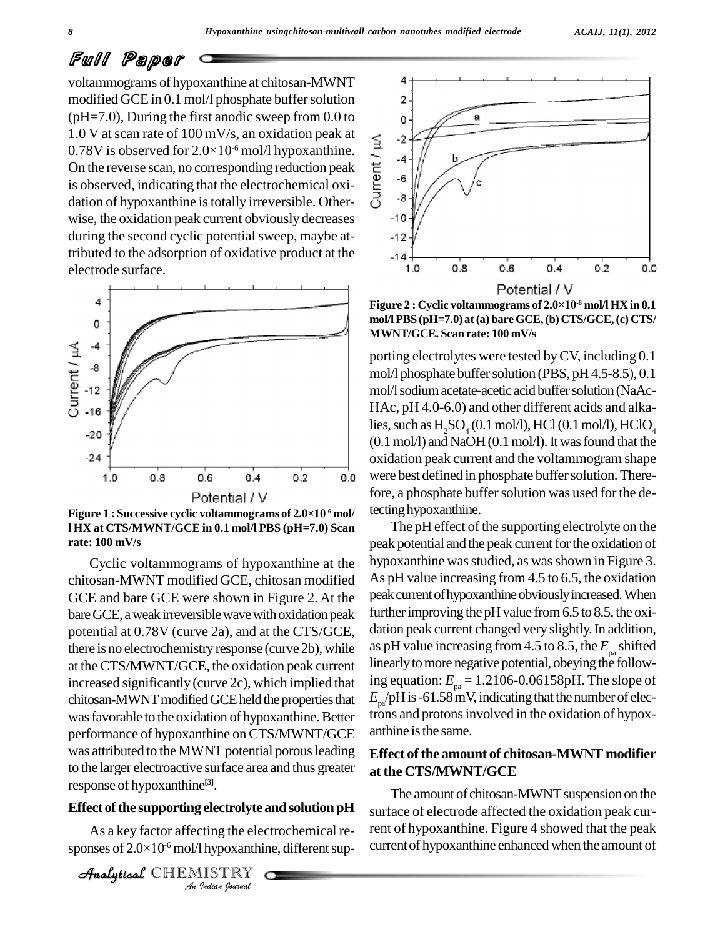voltammograms of hypoxanthine at chitosan-MWNT modified GCE in 0.1 mol/l phosphate buffer solution 2 (pH=7.0), During the first anodic sweep from 0.0 to<br>
1.0 V at scan rate of 100 mV/s, an oxidation peak at<br>
0.78V is observed for  $2.0 \times 10^{-6}$  mol/l hypoxanthine. 1.0 V at scan rate of 100 mV/s, an oxidation peak at 0.78V is observed for  $2.0 \times 10^{-6}$  mol/l hypoxanthine.<br>On the reverse scan, no corresponding reduction peak is observed, indicating that the electrochemical oxidation 0.78V is observed for  $2.0 \times 10^{-6}$  mol/l hypoxanthine. On the reverse scan, no corresponding reduction peak  $\frac{1}{6}$   $\frac{1}{6}$ is observed, indicating that the electrochemical oxidation of hypoxanthine is totally irreversible. Otherwise, the oxidation peak current obviously decreases <sup>10</sup> during the second cyclic potential sweep, maybe attributed to the adsorption of oxidative product at the electrode surface.



**l HX at CTS/MWNT/GCE in 0.1 mol/l PBS (pH=7.0) Scan rate: 100 mV/s**

response of hypoxanthine<sup>[3]</sup>. Cyclic voltammograms of hypoxanthine at the chitosan-MWNT modified GCE, chitosan modified GCE and bare GCE were shown in Figure 2. At the bare GCE, a weak irreversible wave with oxidation peak potential at 0.78V (curve 2a), and at the CTS/GCE, there is no electrochemistry response (curve 2b), while at theCTS/MWNT/GCE, the oxidation peak current increased significantly (curve 2c), which implied that chitosan-MWNT modified GCE held the properties that was favorable to the oxidation of hypoxanthine. Better performance of hypoxanthine on CTS/MWNT/GCE was attributed to the MWNT potential porous leading to the larger electroactive surface area and thus greater

#### **Effect** of the supporting electrolyte and solution pH

<sup>els]</sup>.<br>*I*ng the electrolyte<br>Inypoxanthir<br>IISTRY As a key factor affecting the electrochemical re- **Effect of the supporting electrolyte and solution pH**<br>As a key factor affecting the electrochemical re-<br>sponses of  $2.0\times10^6$  mol/l hypoxanthine, different sup-

```
CHEMISTRY
```


**mol/l PBS (pH=7.0) at(a) bare GCE,(b) CTS/GCE,(c) CTS/ MWNT/GCE. Scan rate: 100 mV/s**

porting electrolytes were tested byCV, including 0.1 mol/l phosphate buffer solution (PBS, pH 4.5-8.5), 0.1 mol/l sodium acetate-acetic acid buffer solution (NaAc-HAc, pH 4.0-6.0) and other different acids and alkalies, such as  $H<sub>2</sub>SO<sub>4</sub>(0.1 mol/l)$ , HCl $(0.1 mol/l)$ , HClO<sub>4</sub>  $(0.1 \text{ mol/l})$  and NaOH $(0.1 \text{ mol/l})$ . It was found that the oxidation peak current and the voltammogram shape were best defined in phosphate buffer solution. Therefore, a phosphate buffer solution was used for the detecting hypoxanthine.

The pH effect of the supporting electrolyte on the peak potential and the peak current for the oxidation of hypoxanthine was studied, as was shown in Figure 3. As pH value increasing from 4.5 to 6.5, the oxidation peak current of hypoxanthine obviously increased. When further improving the pH value from  $6.5$  to  $8.5$ , the oxidation peak current changed very slightly. In addition, as pH value increasing from 4.5 to 8.5, the  $E_{\text{pa}}$  shifted linearly to more negative potential, obeying the following equation: *E* pa = 1.2106-0.06158pH. The slope of  $E_{\text{pa}}$ /pH is -61.58 mV, indicating that the number of electrons and protonsinvolved in the oxidation of hypox anthine is the same.

#### **Effect of the amount of chitosan-MWNT modifier at the CTS/MWNT/GCE**

The amount of chitosan-MWNT suspension on the surface of electrode affected the oxidation peak current of hypoxanthine. Figure 4 showed that the peak currentof hypoxanthine enhanced when the amount of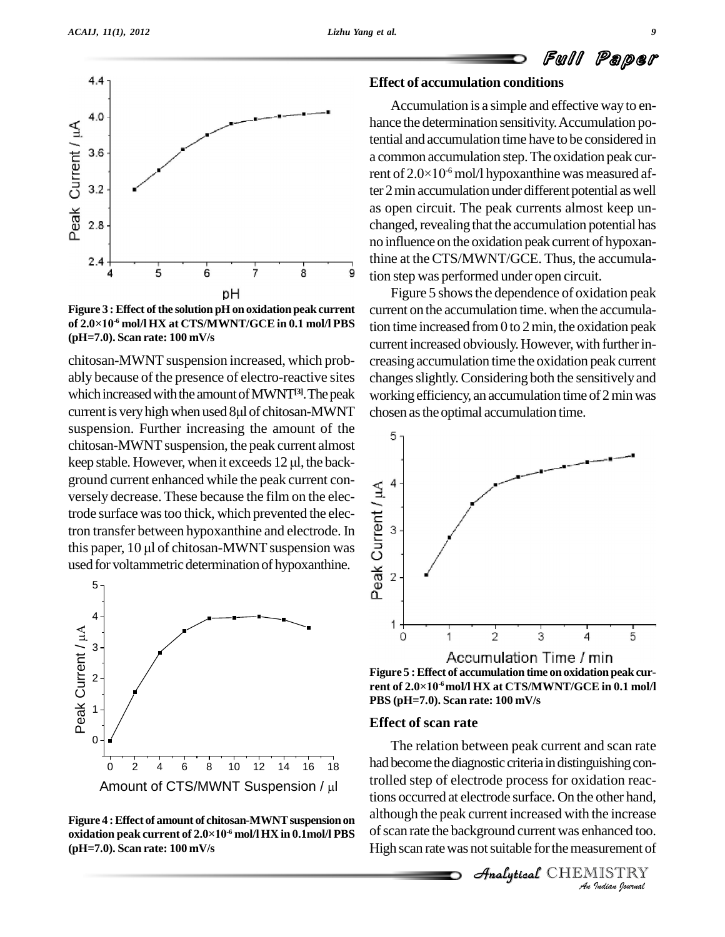

**Figure 3 :Effect ofthe solution pH on oxidationpeakcurrent Figure 3 : Effect of<br>of 2.0×10<sup>-6</sup> mol/l H -6 mol/l HX at CTS/MWNT/GCE in 0.1 mol/l PBS (pH=7.0). Scan rate: 100 mV/s**

chitosan-MWNT suspension increased, which prob ably because of the presence of electro-reactive sites which increased with the amount of MWNT<sup>[3]</sup>. The peak workin ably because of the presence of electro-reactive sites changes s<br>which increased with the amount of MWNT<sup>[3]</sup>. The peak working c<br>current is very high when used 8µl of chitosan-MWNT chosen as suspension. Further increasing the amount of the chitosan-MWNT suspension, the peak current almost suspension. Further increasing the amount of the<br>chitosan-MWNT suspension, the peak current almost<br>keep stable. However, when it exceeds 12 µl, the background current enhanced while the peak current conversely decrease. These because the film on the electrode surface was too thick, which prevented the electron transfer between hypoxanthine and electrode. In this paper, 1 versely decrease. These because the film on the electrode surface was too thick, which prevented the electron transfer between hypoxanthine and electrode. In<br>this paper, 10 µl of chitosan-MWNT suspension was tron transfer between hypoxanthine and electrode. In  $\mathbb{P}$  3 used for voltammetric determination of hypoxanthine.



**Figure 4 : Effect of amount of chitosan-MWNT suspension on oxidation peak current of 2.0×10 -6 mol/l HX in 0.1mol/l PBS (pH=7.0). Scan rate: 100 mV/s**

#### **Effect of accumulation conditions**

Accumulation is a simple and effective way to enhance the determination sensitivity.Accumulation potential and accumulation time have to be considered in<br>a common accumulation step. The oxidation peak cur-<br>rent of 2.0×10<sup>-6</sup> mol/l hypoxanthine was measured afa common accumulation step.The oxidation peak current of  $2.0 \times 10^{-6}$  mol/l hypoxanthine was measured after 2 min accumulation under different potential as well as open circuit. The peak currents almost keep un changed, revealing that the accumulation potential has no influence on the oxidation peak current of hypoxanthine at the CTS/MWNT/GCE. Thus, the accumulation step was performed under open circuit.

Figure 5 shows the dependence of oxidation peak current on the accumulation time. when the accumulation time increased from  $0$  to  $2$  min, the oxidation peak current increased obviously. However, with further increasing accumulation time the oxidation peak current changes slightly. Considering both the sensitively and working efficiency, an accumulation time of 2 min was chosen asthe optimal accumulation time.



**Figure 5 :Effect of accumulation time onoxidation peak cur- RCCUI**<br>Figure 5 : Effect of accu<br>rent of 2.0×10<sup>.6</sup> mol/l H **-6mol/l HX at CTS/MWNT/GCE in 0.1 mol/l PBS (pH=7.0). Scan rate: 100 mV/s**

#### **Effect of scan rate**

*An*trolled step of electrode process for oxidation reac-*Indian*<br>*Indian*<br>*Indian*<br>*IISTRY*<br>*Indian Iournal* tions occurred at electrode surface. On the other hand, The relation between peak current and scan rate had become the diagnostic criteria in distinguishing conalthough the peak current increased with the increase of scan rate the background current was enhanced too. High scan rate was not suitable for the measurement of

**Analytical** CHEMISTRY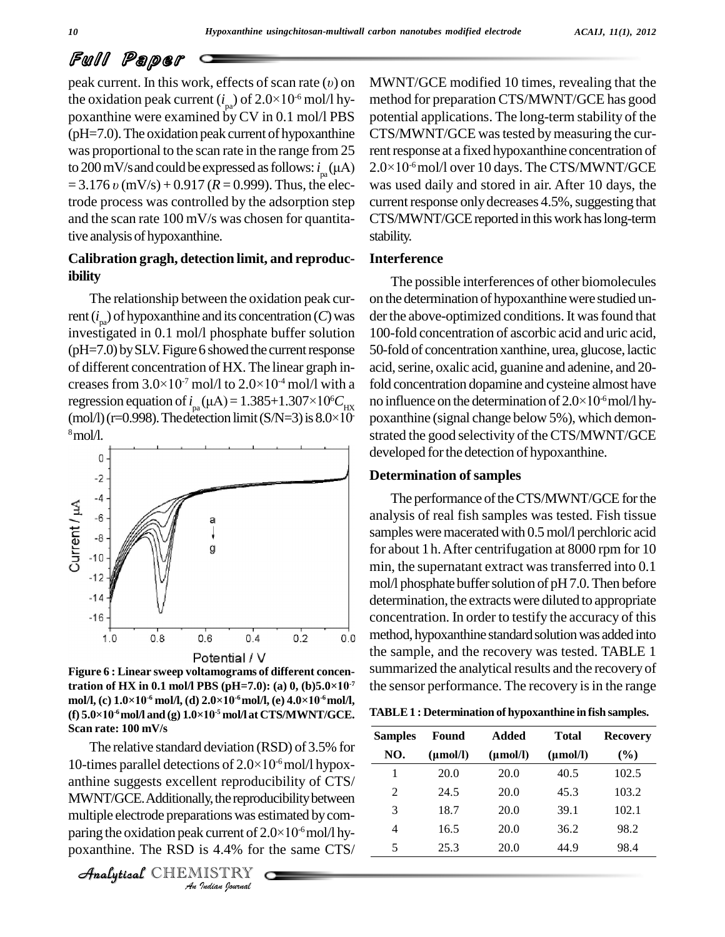peak current. In this work, effects of scan rate  $(v)$  on **PUILE BEAT CONTROVER THE ORIGINAL STARK**<br>peak current. In this work, effects of scan rate (*v*) on MV<br>the oxidation peak current ( $i_{pa}$ ) of 2.0×10<sup>-6</sup> mol/l hy- met poxanthine were examined by CV in 0.1 mol/l PBS  $(pH=7.0)$ . The oxidation peak current of hypoxanthine was proportional to the scan rate in the range from 25 to 200 mV/s and could be expressed as follows:  $i_{\rm m}(\mu A)$ (pH=7.0). The oxidation peak current of hypoxanthine CT:<br>was proportional to the scan rate in the range from 25 rent<br>to 200 mV/s and could be expressed as follows:  $i_{pa}(\mu A)$  2.0<sup>2</sup><br>= 3.176 *v* (mV/s) + 0.917 (*R* = 0.999 trode process was controlled by the adsorption step and the scan rate 100 mV/s was chosen for quantitative analysisof hypoxanthine.

### **Calibration gragh, detection limit, and reproducibility**

The relationship between the oxidation peak current  $(i_{pa})$  of hypoxanthine and its concentration  $(C)$  was der the investigated in 0.1 mol/l phosphate buffer solution  $(pH=7.0)$  by SLV. Figure 6 showed the current response (pH=7.0) by SLV. Figure 6 showed the current response 50-fol of different concentration of HX. The linear graph in-<br>creases from  $3.0\times10^{-7}$  mol/l to  $2.0\times10^{-4}$  mol/l with a fold co of different concentration of HX. The linear graph in-<br>creases from  $3.0 \times 10^{-7}$  mol/l to  $2.0 \times 10^{-4}$  mol/l with a fol<br>regression equation of  $i_{pa}(\mu A) = 1.385+1.307\times10^{6}C_{HX}$  no creases from  $3.0 \times 10^{-7}$  mol/l to  $2.0 \times 10^{-4}$  mol/l with a fold corregression equation of  $i_{pa}(\mu A) = 1.385+1.307\times10^{6}C_{HX}$  no inflimit(mol/l) (r=0.998). The detection limit (S/N=3) is  $8.0\times10^{-7}$  poxant <sup>8</sup>mol/l.



**Figure 6 : Linear sweep voltamograms of different concenthe official** if  $\mathbf{V}$  and **Figure 6 : Linear sweep voltamograms of different concensignal sum tration of HX in 0.1 mol/l PBS (pH=7.0): (a) 0, (b)5.0×10<sup>-7</sup> the s Figure 6 : Linear sweep voltamograms of d<br>tration of HX in 0.1 mol/l PBS (pH=7.0): (<br>mol/l, (c) 1.0×10<sup>-6</sup> mol/l, (d) 2.0×10<sup>-6</sup>mol/l, (q -f**=7.0): (a) 0, (b)5.0×10<sup>-7</sup> th<br>
<sup>-6</sup> mol/l, (e) 4.0×10<sup>-6</sup> mol/l, **tration of HX in 0.1 mol/l PBS (pH=7.)<br>mol/l, (c) 1.0×10<sup>-6</sup> mol/l, (d) 2.0×10<sup>-6</sup>mol<br>(f) 5.0×10<sup>-6</sup> mol/l and (g) 1.0×10<sup>-5</sup> mol/l at**  $(f)$  **5**.0×10<sup>-6</sup> mol/l and  $(g)$  1.0×10<sup>-5</sup> mol/l at CTS/MWNT/GCE. **Scan rate: 100 mV/s**

*An*anthine suggests excellent reproducibility of CTS/ *Indian Indian Indian Indian*<br> *Indianally, the reproducibility between*<br> *Indian Postanting* the oxidation peak current of 2.0×10<sup>-6</sup> mol/l hy-<br> *Poxanthine.* The RSD is 4.4% for the same CTS/<br> *Analytical* CHEMIS  $\frac{2}{\text{MWNT/GCE}}$ . Additionally, the reproducibility between The relative standard deviation (RSD) of 3.5% for Scan rate: 100 mV/s<br>
The relative standard deviation (RSD) of 3.5% for<br>
10-times parallel detections of  $2.0\times10^{-6}$  mol/l hypoxmultiple electrode preparationswas estimated bycom poxanthine. The RSD is 4.4% for the same CTS/

CHEMISTRY

MWNT/GCE modified 10 times, revealing that the method for preparation CTS/MWNT/GCE has good potential applications. The long-term stability of the CTS/MWNT/GCE was tested by measuring the cur-<br>rent response at a fixed hypoxanthine concentration of<br>2.0×10<sup>-6</sup> mol/l over 10 days. The CTS/MWNT/GCE rent response at a fixed hypoxanthine concentration of  $2.0\times10<sup>-6</sup>$  mol/l over 10 days. The CTS/MWNT/GCE was used daily and stored in air. After 10 days, the current response only decreases 4.5%, suggesting that CTS/MWNT/GCEreported inthiswork haslong-term stability.

#### **Interference**

 ${}^6C_{\text{HX}}$  no influence on the determination of  $2.0 \times 10^{16}$  mol/l hy-- poxanthine (signal change below 5%), which demon- The possible interferences of other biomolecules on the determination of hypoxanthinewere studied un der the above-optimized conditions. It was found that 100-fold concentration of ascorbic acid and uric acid, 50-fold of concentration xanthine, urea, glucose, lactic acid, serine, oxalic acid, guanine and adenine, and 20-<br>fold concentration dopamine and cysteine almost have<br>no influence on the determination of  $2.0\times10^{-6}$  mol/l hyfold concentration dopamine and cysteine almost have strated the good selectivity of the CTS/MWNT/GCE developed for the detection of hypoxanthine.

#### **Determination** of samples

<sup>-7</sup> the sensor performance. The recovery is in the range The performance of the CTS/MWNT/GCE for the analysis of real fish samples was tested. Fish tissue samples were macerated with 0.5 mol/l perchloric acid for about 1h.After centrifugation at 8000 rpm for 10 min, the supernatant extract was transferred into 0.1 mol/l phosphate buffer solution of pH7.0. Then before determination, the extracts were diluted to appropriate concentration. In order to testify the accuracy of this method, hypoxanthine standard solution was added into the sample, and the recovery was tested. TABLE 1 summarized the analytical results and the recovery of

| TABLE 1 : Determination of hypoxanthine in fish samples. |  |  |
|----------------------------------------------------------|--|--|
|                                                          |  |  |

| <b>Samples</b> | Found         | Added         | <b>Total</b>  | <b>Recovery</b> |
|----------------|---------------|---------------|---------------|-----------------|
| NO.            | $(\mu mol/l)$ | $(\mu mol/l)$ | $(\mu mol/l)$ | $($ %)          |
| 1              | 20.0          | 20.0          | 40.5          | 102.5           |
| 2              | 24.5          | 20.0          | 45.3          | 103.2           |
| 3              | 18.7          | 20.0          | 39.1          | 102.1           |
| 4              | 16.5          | 20.0          | 36.2          | 98.2            |
| 5              | 25.3          | 20.0          | 44.9          | 98.4            |